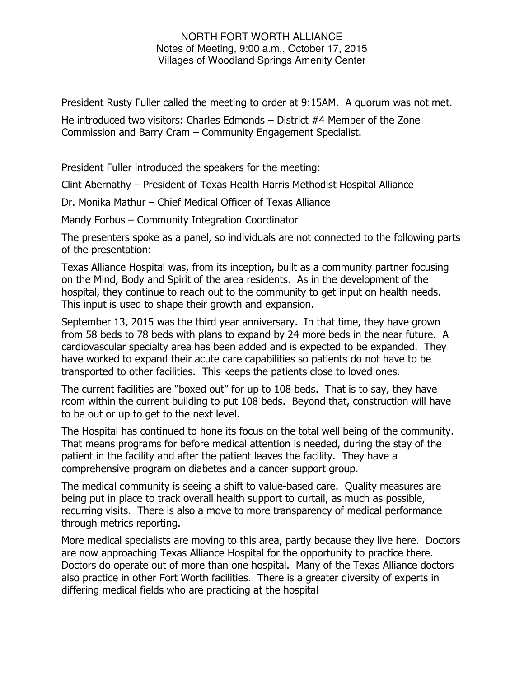## NORTH FORT WORTH ALLIANCE Notes of Meeting, 9:00 a.m., October 17, 2015 Villages of Woodland Springs Amenity Center

President Rusty Fuller called the meeting to order at 9:15AM. A quorum was not met.

He introduced two visitors: Charles Edmonds – District #4 Member of the Zone Commission and Barry Cram – Community Engagement Specialist.

President Fuller introduced the speakers for the meeting:

Clint Abernathy – President of Texas Health Harris Methodist Hospital Alliance

Dr. Monika Mathur – Chief Medical Officer of Texas Alliance

Mandy Forbus – Community Integration Coordinator

The presenters spoke as a panel, so individuals are not connected to the following parts of the presentation:

Texas Alliance Hospital was, from its inception, built as a community partner focusing on the Mind, Body and Spirit of the area residents. As in the development of the hospital, they continue to reach out to the community to get input on health needs. This input is used to shape their growth and expansion.

September 13, 2015 was the third year anniversary. In that time, they have grown from 58 beds to 78 beds with plans to expand by 24 more beds in the near future. A cardiovascular specialty area has been added and is expected to be expanded. They have worked to expand their acute care capabilities so patients do not have to be transported to other facilities. This keeps the patients close to loved ones.

The current facilities are "boxed out" for up to 108 beds. That is to say, they have room within the current building to put 108 beds. Beyond that, construction will have to be out or up to get to the next level.

The Hospital has continued to hone its focus on the total well being of the community. That means programs for before medical attention is needed, during the stay of the patient in the facility and after the patient leaves the facility. They have a comprehensive program on diabetes and a cancer support group.

The medical community is seeing a shift to value-based care. Quality measures are being put in place to track overall health support to curtail, as much as possible, recurring visits. There is also a move to more transparency of medical performance through metrics reporting.

More medical specialists are moving to this area, partly because they live here. Doctors are now approaching Texas Alliance Hospital for the opportunity to practice there. Doctors do operate out of more than one hospital. Many of the Texas Alliance doctors also practice in other Fort Worth facilities. There is a greater diversity of experts in differing medical fields who are practicing at the hospital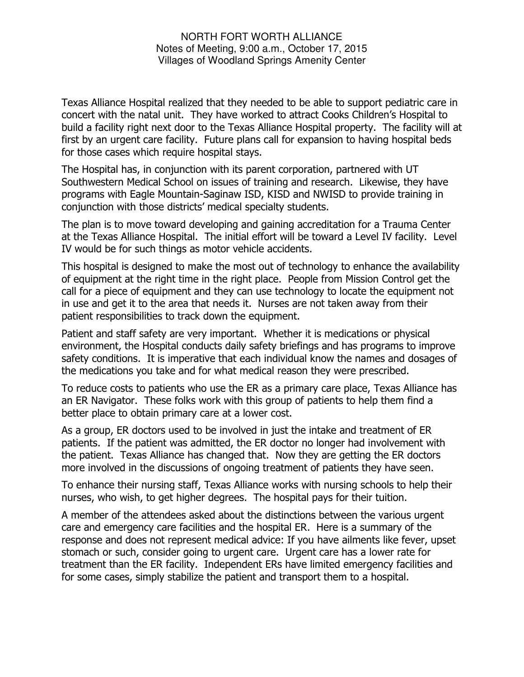## NORTH FORT WORTH ALLIANCE Notes of Meeting, 9:00 a.m., October 17, 2015 Villages of Woodland Springs Amenity Center

Texas Alliance Hospital realized that they needed to be able to support pediatric care in concert with the natal unit. They have worked to attract Cooks Children's Hospital to build a facility right next door to the Texas Alliance Hospital property. The facility will at first by an urgent care facility. Future plans call for expansion to having hospital beds for those cases which require hospital stays.

The Hospital has, in conjunction with its parent corporation, partnered with UT Southwestern Medical School on issues of training and research. Likewise, they have programs with Eagle Mountain-Saginaw ISD, KISD and NWISD to provide training in conjunction with those districts' medical specialty students.

The plan is to move toward developing and gaining accreditation for a Trauma Center at the Texas Alliance Hospital. The initial effort will be toward a Level IV facility. Level IV would be for such things as motor vehicle accidents.

This hospital is designed to make the most out of technology to enhance the availability of equipment at the right time in the right place. People from Mission Control get the call for a piece of equipment and they can use technology to locate the equipment not in use and get it to the area that needs it. Nurses are not taken away from their patient responsibilities to track down the equipment.

Patient and staff safety are very important. Whether it is medications or physical environment, the Hospital conducts daily safety briefings and has programs to improve safety conditions. It is imperative that each individual know the names and dosages of the medications you take and for what medical reason they were prescribed.

To reduce costs to patients who use the ER as a primary care place, Texas Alliance has an ER Navigator. These folks work with this group of patients to help them find a better place to obtain primary care at a lower cost.

As a group, ER doctors used to be involved in just the intake and treatment of ER patients. If the patient was admitted, the ER doctor no longer had involvement with the patient. Texas Alliance has changed that. Now they are getting the ER doctors more involved in the discussions of ongoing treatment of patients they have seen.

To enhance their nursing staff, Texas Alliance works with nursing schools to help their nurses, who wish, to get higher degrees. The hospital pays for their tuition.

A member of the attendees asked about the distinctions between the various urgent care and emergency care facilities and the hospital ER. Here is a summary of the response and does not represent medical advice: If you have ailments like fever, upset stomach or such, consider going to urgent care. Urgent care has a lower rate for treatment than the ER facility. Independent ERs have limited emergency facilities and for some cases, simply stabilize the patient and transport them to a hospital.